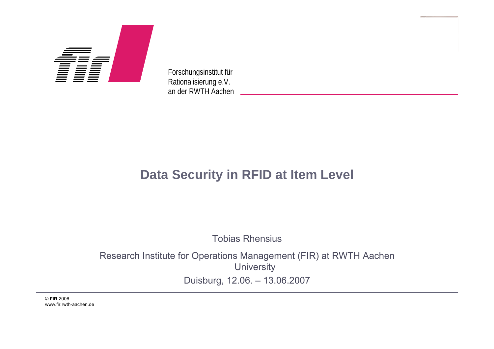

Forschungsinstitut für Rationalisierung e.V. an der RWTH Aachen

### **Data Security in RFID at Item Level**

Tobias Rhensius

Research Institute for Operations Management (FIR) at RWTH Aachen **University** Duisburg, 12.06. – 13.06.2007

© FIR 2007© **FIR** 2006 www.fir.rwth-aachen.de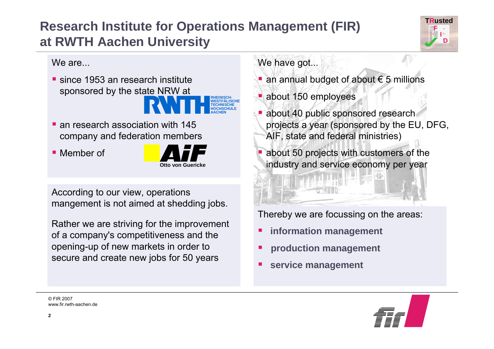## **Research Institute for Operations Management (FIR) at RWTH Aachen University**



We [are...](#page-17-0)

■ since [1953 an research](#page-17-0) institute [sponsored](#page-17-0) by the state NRW at



**[an research](#page-17-0) association with 145** company [and federation](#page-17-0) members

■ [Member](#page-17-0) of



According to our view, operations mangement is not aimed at shedding jobs.

Rather we are striving for the improvement of a company's competitiveness and the opening-up of new markets in order to secure and create new jobs for 50 years

We have got...

- an annual budget of about  $\epsilon$  5 millions
- about 150 employees
- **about 40 public sponsored research** projects a year (sponsored by the EU, DFG, AIF, state and federal ministries)
- П about 50 projects with customers of the industry and service economy per year

Thereby we are focussing on the areas:

- П **information management**
- **production management**
- П **service management**

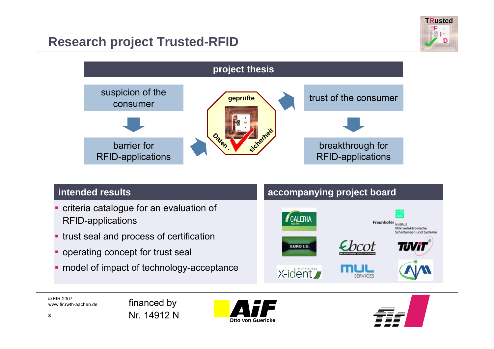### **Research project Trusted-RFID**



#### **intended results**

- П criteria catalogue for an evaluation of RFID-applications
- П trust seal and process of certification
- П operating concept for trust seal
- ш model of impact of technology-acceptance

#### **accompanying project board**



© FIR 2007www.fir.rwth-aachen.de





**F**

**TRusted**

**D**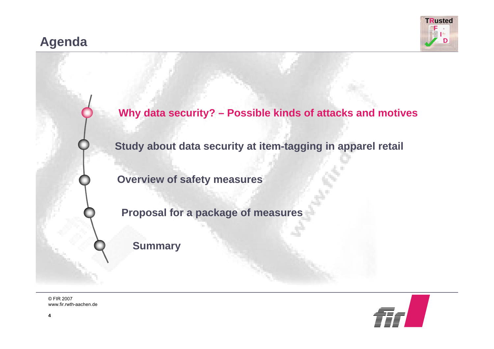### **Agenda**





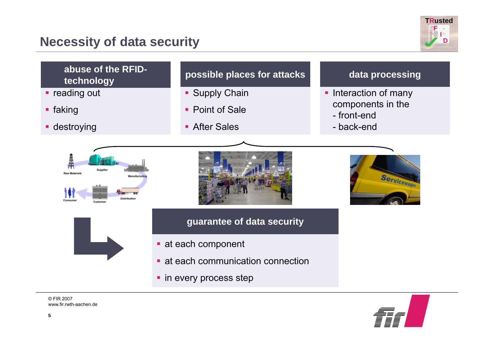### **Necessity of data security**







www.fir.rwth-aachen.de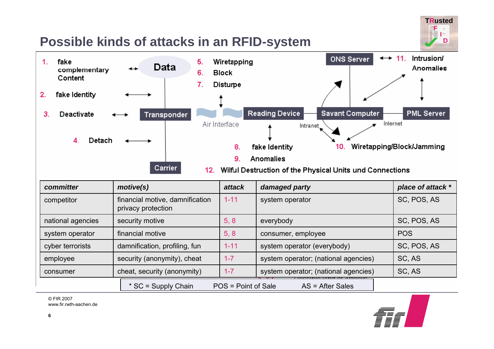### **Possible kinds of attacks in an RFID-system**





| committer         | motive(s)                                             | <b>attack</b>       | damaged party                        | place of attack * |
|-------------------|-------------------------------------------------------|---------------------|--------------------------------------|-------------------|
| competitor        | financial motive, damnification<br>privacy protection | $1 - 11$            | system operator                      | SC, POS, AS       |
| national agencies | security motive                                       | 5, 8                | everybody                            | SC, POS, AS       |
| system operator   | financial motive                                      | 5, 8                | consumer, employee                   | <b>POS</b>        |
| cyber terrorists  | damnification, profiling, fun                         | $1 - 11$            | system operator (everybody)          | SC, POS, AS       |
| employee          | security (anonymity), cheat                           | $1 - 7$             | system operator; (national agencies) | SC, AS            |
| consumer          | cheat, security (anonymity)                           | $1 - 7$             | system operator; (national agencies) | SC, AS            |
|                   | * SC = Supply Chain                                   | POS = Point of Sale | $AS = After Sales$                   |                   |

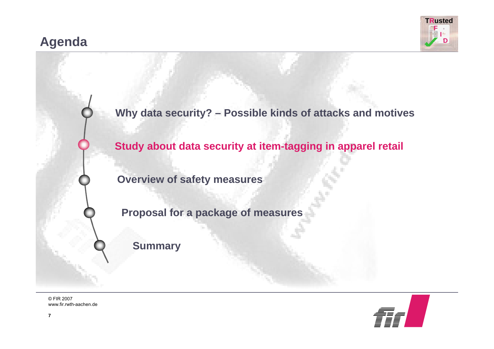### **Agenda**





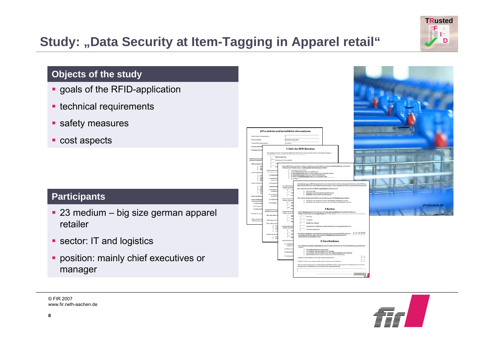## **Study: "Data Security at Item-Tagging in Apparel retail"**



#### **Objects of the study**

- **goals of the RFID-application**
- **technical requirements**
- **safety measures**
- cost aspects

#### **Participants**

- 23 medium big size german apparel retailer
- **Sector: IT and logistics**
- position: mainly chief executives or manager



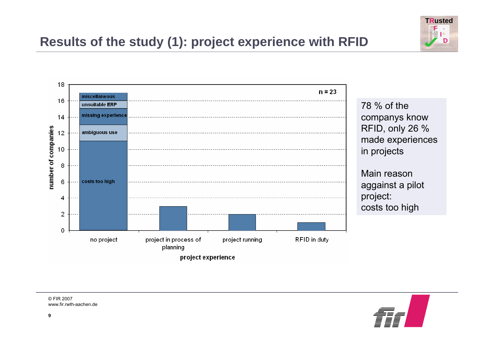



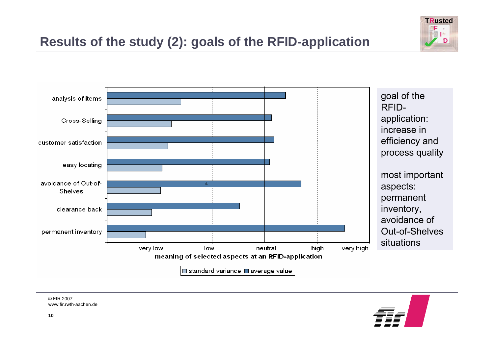



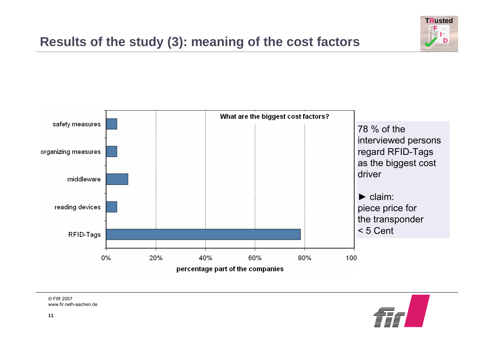### **Results of the study (3): meaning of the cost factors**





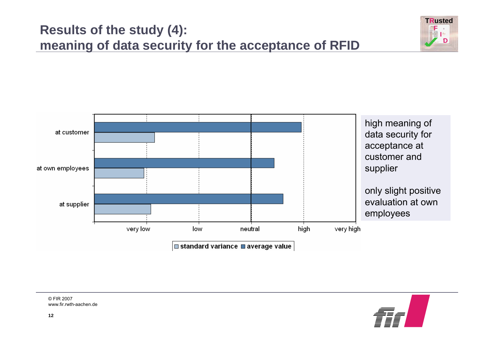



**F ID**

**TRusted**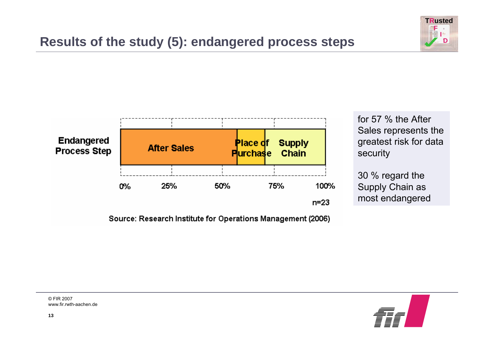



Source: Research Institute for Operations Management (2006)

for 57 % the After Sales represents the greatest risk for data security

30 % regard the Supply Chain as most endangered

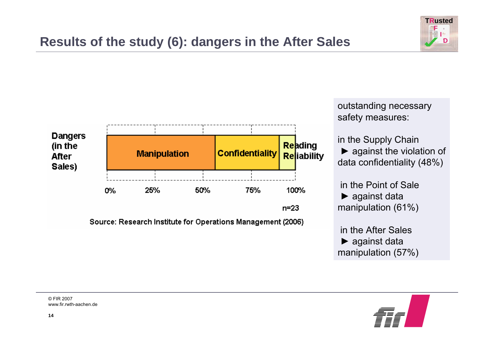



outstanding necessary safety measures:

in the Supply Chain  $\blacktriangleright$  against the violation of data confidentiality (48%)

in the Point of Sale► against data manipulation (61%)

in the After Sales► against data manipulation (57%)

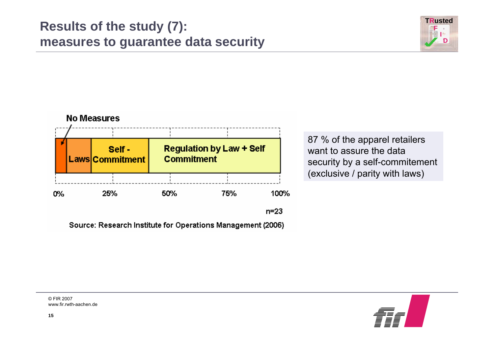### **Results of the study (7): measures to guarantee data security**





Source: Research Institute for Operations Management (2006)

87 % of the apparel retailers want to assure the datasecurity by a self-commitement (exclusive / parity with laws)

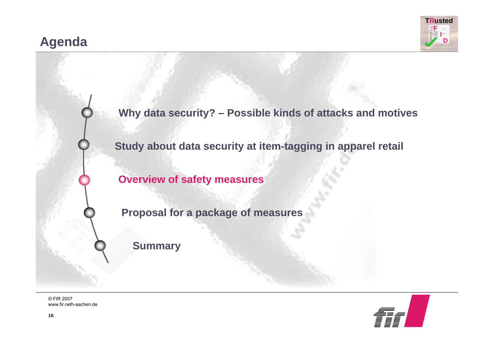### **Agenda**





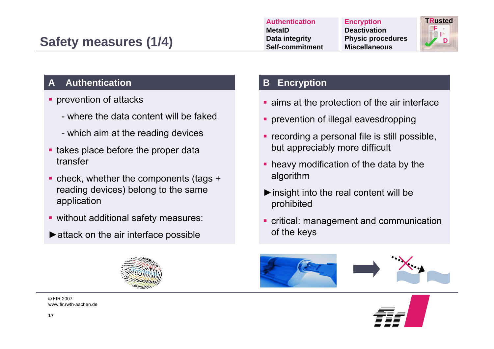

#### **A Authentication**

- П prevention of attacks
	- where the data content will be faked
	- which aim at the reading devices
- **takes place before the proper data** transfer
- check, whether the components (tags + reading devices) belong to the same application
- **without additional safety measures:**
- $\blacktriangleright$  attack on the air interface possible



© FIR 2007www.fir.rwth-aachen.de

#### **B Encryption**

- **Example 2 in Angle 2 in Angle 2 in The Stamps at the protection of the air interface**
- **prevention of illegal eavesdropping**
- **recording a personal file is still possible,** but appreciably more difficult
- **heavy modification of the data by the** algorithm
- $\triangleright$  insight into the real content will be prohibited
- critical: management and communication of the keys





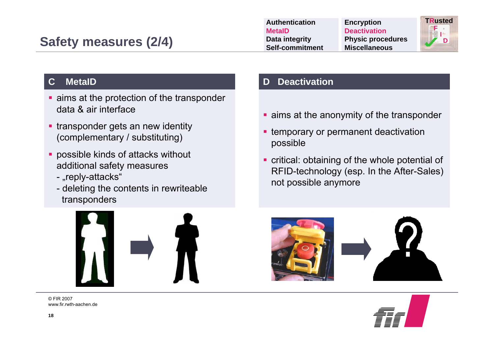| Authentication         | <b>Encryption</b>        | <b>TRusted</b> |
|------------------------|--------------------------|----------------|
| <b>MetalD</b>          | <b>Deactivation</b>      |                |
| Data integrity         | <b>Physic procedures</b> | D              |
| <b>Self-commitment</b> | <b>Miscellaneous</b>     |                |

#### <span id="page-17-0"></span>**C MetaID**

- **Example 2 in the controller** contribution of the transponder data & air interface
- **transponder gets an new identity** (complementary / substituting)
- **possible kinds of attacks without** additional safety measures
	- "reply-attacks"
	- deleting the contents in rewriteable transponders



© FIR 2007www.fir.rwth-aachen.de

#### **Deactivation**

- **E** aims at the anonymity of the transponder
- **Example 1 Fig. 2 Fig. 2 Fig. 2 Fig. 2 Fig. 2 Fig. 2 Fig. 2 Fig. 2 Fig. 2 Fig. 2 Fig. 2 Fig. 2 Fig. 2 Fig. 2 Fig. 2 Fig. 2 Fig. 2 Fig. 2 Fig. 2 Fig. 2 Fig. 2 Fig. 2 Fig. 2 Fig. 2 Fig. 2 Fig. 2 Fig. 2 Fig. 2 Fig. 2 Fig. 2 F** possible
- **•** critical: obtaining of the whole potential of RFID-technology (esp. In the After-Sales) not possible anymore





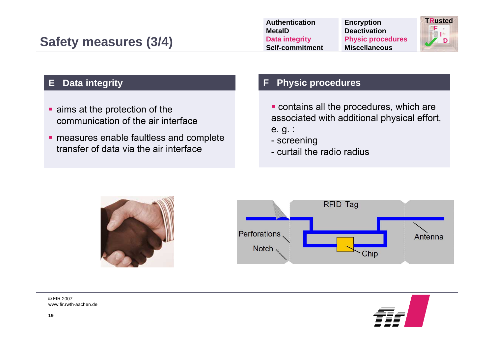| <b>Authentication</b> | <b>Encryption</b>        | <b>TRusted</b> |
|-----------------------|--------------------------|----------------|
| <b>MetaID</b>         | <b>Deactivation</b>      |                |
| Data integrity        | <b>Physic procedures</b> | D              |
| Self-commitment       | <b>Miscellaneous</b>     |                |

#### **E Data integrity**

- **aims at the protection of the** communication of the air interface
- **n** measures enable faultless and complete transfer of data via the air interface

#### **F Physic procedures**

- contains all the procedures, which are associated with additional physical effort, e. g. :
- screening
- curtail the radio radius





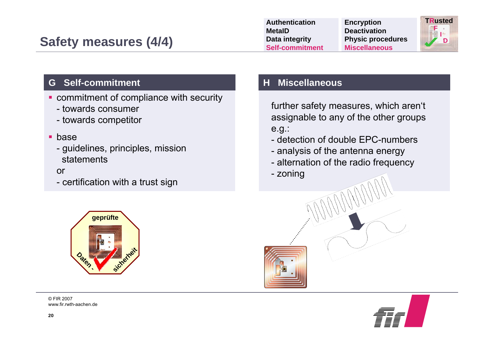| <b>Authentication</b> | <b>Encryption</b>        | <b>TRusted</b> |
|-----------------------|--------------------------|----------------|
| <b>MetaID</b>         | <b>Deactivation</b>      |                |
| Data integrity        | <b>Physic procedures</b> | D              |
| Self-commitment       | <b>Miscellaneous</b>     |                |
|                       |                          |                |

#### **G Self-commitment**

- commitment of compliance with security
	- towards consumer
	- towards competitor
- **base** 
	- guidelines, principles, mission statements

#### or

- certification with a trust sign



© FIR 2007www.fir.rwth-aachen.de

#### **H Miscellaneous**

further safety measures, which aren't assignable to any of the other groups e.g.:

- detection of double EPC-numbers
- analysis of the antenna energy
- alternation of the radio frequency
- zoning



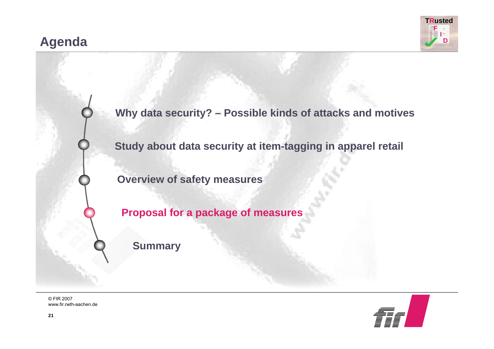### **Agenda**





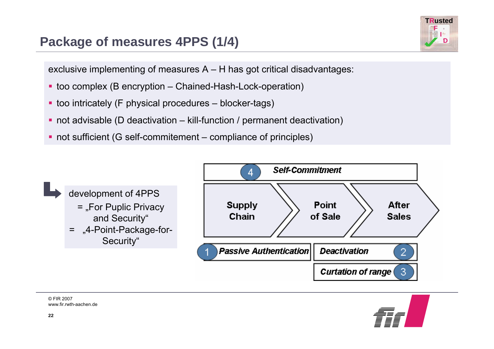### **Package of measures 4PPS (1/4)**

**FDTRusted**

exclusive implementing of measures A – H has got critical disadvantages:

- too complex (B encryption Chained-Hash-Lock-operation)
- too intricately (F physical procedures blocker-tags)
- not advisable (D deactivation kill-function / permanent deactivation)
- not sufficient (G self-commitement compliance of principles)



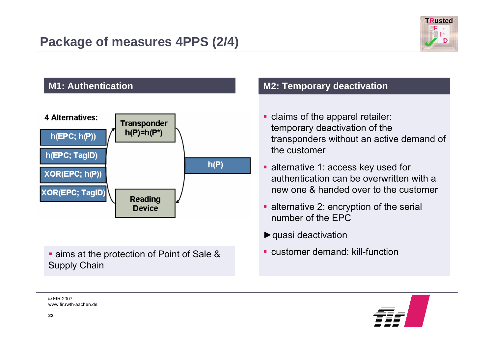



**aims at the protection of Point of Sale &** Supply Chain

### **M2: Temporary deactivation**

- **Claims of the apparel retailer:** temporary deactivation of the transponders without an active demand of the customer
- **alternative 1: access key used for** authentication can be overwritten with a new one & handed over to the customer
- **Example 2: encryption of the serial** number of the EPC
- ►quasi deactivation
- customer demand: kill-function

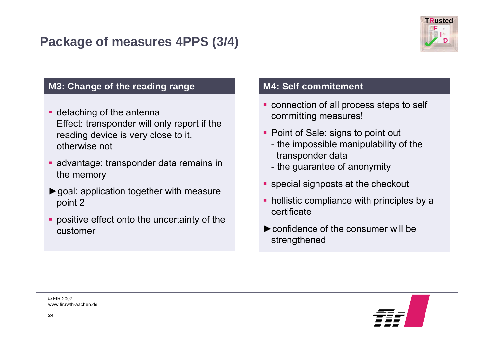

#### **M3: Change of the reading range**

- **detaching of the antenna** Effect: transponder will only report if the reading device is very close to it, otherwise not
- advantage: transponder data remains in the memory
- ►goal: application together with measure point 2
- **positive effect onto the uncertainty of the** customer

#### **M4: Self commitement**

- connection of all process steps to self committing measures!
- Point of Sale: signs to point out
	- the impossible manipulability of the transponder data
	- the guarantee of anonymity
- **Secial signposts at the checkout**
- **hollistic compliance with principles by a** certificate
- ►confidence of the consumer will bestrengthened

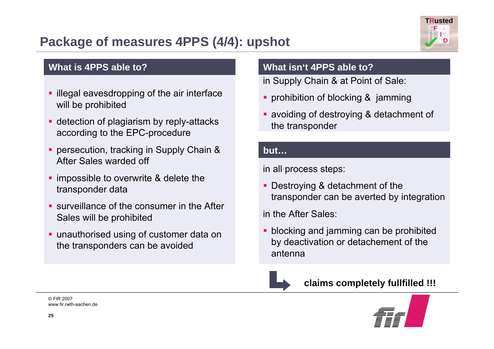### **Package of measures 4PPS (4/4): upshot**



#### **What is 4PPS able to?**

- **I** illegal eavesdropping of the air interface will be prohibited
- **detection of plagiarism by reply-attacks** according to the EPC-procedure
- persecution, tracking in Supply Chain & After Sales warded off
- **If** impossible to overwrite & delete the transponder data
- **SURE** surveillance of the consumer in the After Sales will be prohibited
- unauthorised using of customer data on the transponders can be avoided

#### **What isn't 4PPS able to?**

in Supply Chain & at Point of Sale:

- prohibition of blocking & jamming
- avoiding of destroying & detachment of the transponder

#### **but…**

in all process steps:

 Destroying & detachment of the transponder can be averted by integration

in the After Sales:

**• blocking and jamming can be prohibited** by deactivation or detachement of the antenna



**claims completely fullfilled !!!**

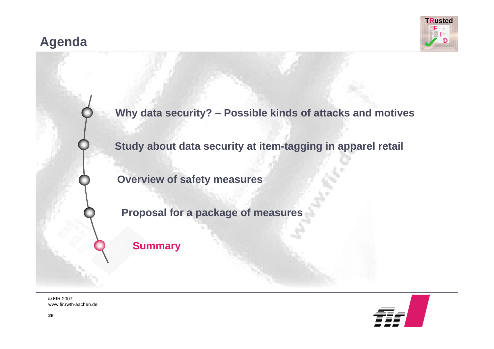### **Agenda**





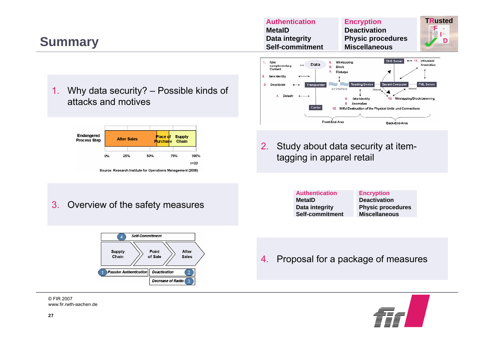### **Summary**



**D**

#### 1. Why data security? – Possible kinds of attacks and motives



#### 3.Overview of the safety measures



© FIR 2007www.fir.rwth-aachen.de



2. Study about data security at itemtagging in apparel retail

| <b>Authentication</b> | <b>Encryption</b>        |  |
|-----------------------|--------------------------|--|
| <b>MetaID</b>         | <b>Deactivation</b>      |  |
| Data integrity        | <b>Physic procedures</b> |  |
| Self-commitment       | <b>Miscellaneous</b>     |  |
|                       |                          |  |

4.Proposal for a package of measures